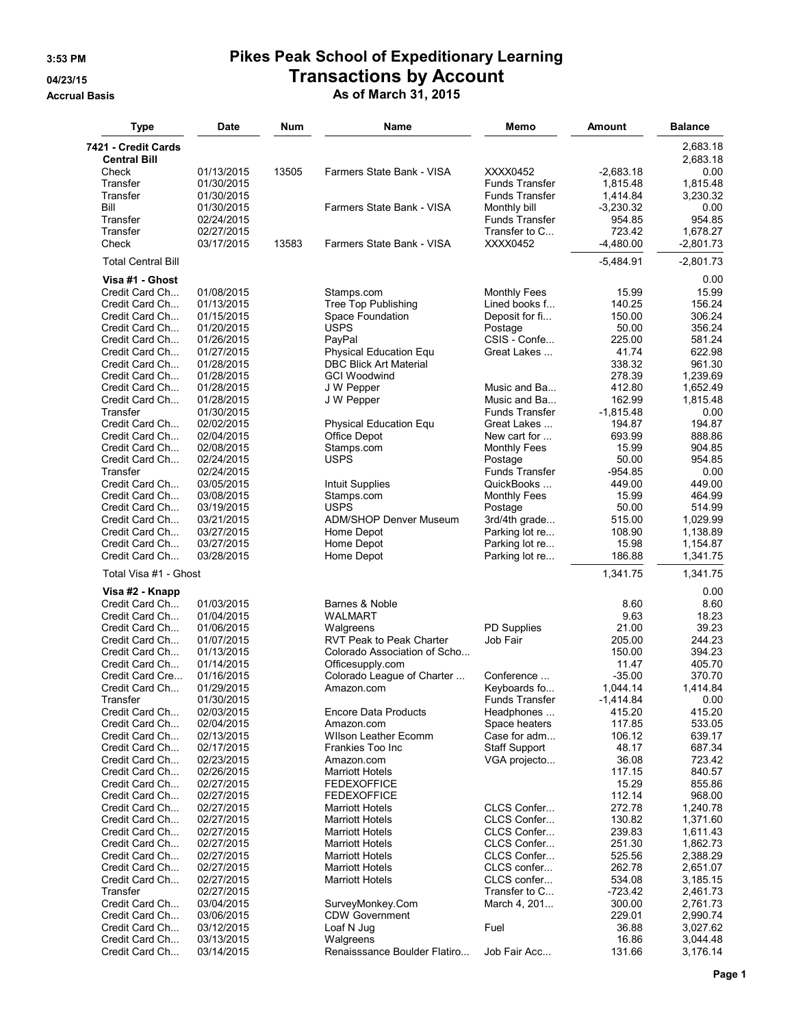## **3:53 PM Pikes Peak School of Expeditionary Learning 04/23/15 Transactions by Account**

**Accrual Basis As of March 31, 2015**

| 7421 - Credit Cards<br>2,683.18<br>2,683.18<br><b>Central Bill</b><br>0.00<br>Check<br>01/13/2015<br>13505<br>Farmers State Bank - VISA<br>XXXX0452<br>$-2,683.18$<br>Transfer<br>01/30/2015<br><b>Funds Transfer</b><br>1,815.48<br>1,815.48<br>Transfer<br><b>Funds Transfer</b><br>1,414.84<br>3.230.32<br>01/30/2015<br>Bill<br>01/30/2015<br>Farmers State Bank - VISA<br>Monthly bill<br>$-3,230.32$<br>0.00<br>Transfer<br>Funds Transfer<br>954.85<br>954.85<br>02/24/2015<br>723.42<br>Transfer<br>02/27/2015<br>Transfer to C<br>1,678.27<br>Check<br>03/17/2015<br>13583<br>Farmers State Bank - VISA<br>XXXX0452<br>-4,480.00<br>$-2,801.73$<br><b>Total Central Bill</b><br>$-5,484.91$<br>$-2,801.73$<br>Visa #1 - Ghost<br>0.00<br>15.99<br>Credit Card Ch<br>01/08/2015<br>15.99<br>Stamps.com<br><b>Monthly Fees</b><br><b>Tree Top Publishing</b><br>Credit Card Ch<br>01/13/2015<br>Lined books f<br>140.25<br>156.24<br>Credit Card Ch<br>01/15/2015<br>Space Foundation<br>Deposit for fi<br>150.00<br>306.24<br>Credit Card Ch<br>01/20/2015<br><b>USPS</b><br>50.00<br>356.24<br>Postage<br>CSIS - Confe<br>Credit Card Ch<br>01/26/2015<br>PayPal<br>225.00<br>581.24<br>Credit Card Ch<br>01/27/2015<br>Physical Education Equ<br>Great Lakes<br>41.74<br>622.98<br>Credit Card Ch<br>01/28/2015<br><b>DBC Blick Art Material</b><br>338.32<br>961.30<br>Credit Card Ch<br>01/28/2015<br><b>GCI Woodwind</b><br>278.39<br>1,239.69<br>412.80<br>Credit Card Ch<br>01/28/2015<br>J W Pepper<br>Music and Ba<br>1,652.49<br>Credit Card Ch<br>01/28/2015<br>J W Pepper<br>Music and Ba<br>162.99<br>1,815.48<br>Transfer<br>01/30/2015<br><b>Funds Transfer</b><br>$-1,815.48$<br>0.00<br>Credit Card Ch<br>02/02/2015<br>Great Lakes<br>194.87<br>194.87<br>Physical Education Equ<br>888.86<br>Credit Card Ch<br>02/04/2015<br>Office Depot<br>New cart for<br>693.99<br>Credit Card Ch<br>02/08/2015<br>Stamps.com<br><b>Monthly Fees</b><br>15.99<br>904.85<br>Credit Card Ch<br><b>USPS</b><br>50.00<br>954.85<br>02/24/2015<br>Postage<br>Transfer<br>02/24/2015<br><b>Funds Transfer</b><br>$-954.85$<br>0.00<br>Credit Card Ch<br>03/05/2015<br>QuickBooks<br>449.00<br>449.00<br>Intuit Supplies<br>Credit Card Ch<br>03/08/2015<br>15.99<br>464.99<br>Stamps.com<br><b>Monthly Fees</b><br>Credit Card Ch<br>03/19/2015<br><b>USPS</b><br>50.00<br>514.99<br>Postage<br>03/21/2015<br><b>ADM/SHOP Denver Museum</b><br>515.00<br>1,029.99<br>Credit Card Ch<br>3rd/4th grade<br>03/27/2015<br>Home Depot<br>Credit Card Ch<br>Parking lot re<br>108.90<br>1,138.89<br>Credit Card Ch<br>03/27/2015<br>Home Depot<br>Parking lot re<br>15.98<br>1,154.87<br>Credit Card Ch<br>03/28/2015<br>186.88<br>1,341.75<br>Home Depot<br>Parking lot re<br>Total Visa #1 - Ghost<br>1,341.75<br>1,341.75<br>0.00<br>Visa #2 - Knapp<br>Credit Card Ch<br>01/03/2015<br>Barnes & Noble<br>8.60<br>8.60<br>9.63<br>Credit Card Ch<br>01/04/2015<br><b>WALMART</b><br>18.23<br><b>PD Supplies</b><br>01/06/2015<br>21.00<br>39.23<br>Credit Card Ch<br>Walgreens<br>Credit Card Ch<br>01/07/2015<br><b>RVT Peak to Peak Charter</b><br>Job Fair<br>205.00<br>244.23<br>01/13/2015<br>150.00<br>394.23<br>Credit Card Ch<br>Colorado Association of Scho<br>405.70<br>Credit Card Ch<br>01/14/2015<br>Officesupply.com<br>11.47<br>Credit Card Cre<br>01/16/2015<br>Colorado League of Charter<br>Conference<br>$-35.00$<br>370.70<br>Credit Card Ch<br>01/29/2015<br>1,414.84<br>Amazon.com<br>Keyboards fo<br>1,044.14<br>01/30/2015<br>Funds Transfer<br>$-1,414.84$<br>0.00<br>Transfer<br>02/03/2015<br>415.20<br>415.20<br>Credit Card Ch<br><b>Encore Data Products</b><br>Headphones<br>Credit Card Ch<br>02/04/2015<br>Space heaters<br>117.85<br>533.05<br>Amazon.com<br>02/13/2015<br>Case for adm<br>106.12<br>639.17<br>Credit Card Ch<br><b>Wilson Leather Ecomm</b><br>Credit Card Ch<br>02/17/2015<br>Frankies Too Inc<br><b>Staff Support</b><br>48.17<br>687.34<br>Credit Card Ch<br>02/23/2015<br>36.08<br>723.42<br>Amazon.com<br>VGA projecto<br>Credit Card Ch<br>02/26/2015<br><b>Marriott Hotels</b><br>117.15<br>840.57<br>Credit Card Ch<br>02/27/2015<br>15.29<br>855.86<br><b>FEDEXOFFICE</b><br>Credit Card Ch<br><b>FEDEXOFFICE</b><br>112.14<br>968.00<br>02/27/2015<br>Credit Card Ch<br>CLCS Confer<br>272.78<br>1,240.78<br>02/27/2015<br><b>Marriott Hotels</b><br>CLCS Confer<br>Credit Card Ch<br>02/27/2015<br><b>Marriott Hotels</b><br>130.82<br>1,371.60<br>Credit Card Ch<br>02/27/2015<br><b>Marriott Hotels</b><br>CLCS Confer<br>239.83<br>1,611.43<br>Credit Card Ch<br>02/27/2015<br><b>Marriott Hotels</b><br>CLCS Confer<br>251.30<br>1,862.73<br>Credit Card Ch<br>02/27/2015<br><b>Marriott Hotels</b><br>CLCS Confer<br>525.56<br>2,388.29<br>Credit Card Ch<br>02/27/2015<br><b>Marriott Hotels</b><br>CLCS confer<br>262.78<br>2,651.07<br>CLCS confer<br>Credit Card Ch<br>02/27/2015<br><b>Marriott Hotels</b><br>534.08<br>3,185.15<br>Transfer<br>02/27/2015<br>Transfer to C<br>$-723.42$<br>2,461.73<br>Credit Card Ch<br>03/04/2015<br>SurveyMonkey.Com<br>March 4, 201<br>300.00<br>2,761.73<br>Credit Card Ch<br>03/06/2015<br><b>CDW Government</b><br>229.01<br>2,990.74<br>Credit Card Ch<br>Loaf N Jug<br>Fuel<br>36.88<br>3,027.62<br>03/12/2015<br>Credit Card Ch<br>03/13/2015<br>Walgreens<br>16.86<br>3,044.48<br>Renaisssance Boulder Flatiro<br>Job Fair Acc<br>3,176.14<br>Credit Card Ch<br>03/14/2015<br>131.66 | Type | <b>Date</b> | Num | Name | Memo | <b>Amount</b> | <b>Balance</b> |
|-----------------------------------------------------------------------------------------------------------------------------------------------------------------------------------------------------------------------------------------------------------------------------------------------------------------------------------------------------------------------------------------------------------------------------------------------------------------------------------------------------------------------------------------------------------------------------------------------------------------------------------------------------------------------------------------------------------------------------------------------------------------------------------------------------------------------------------------------------------------------------------------------------------------------------------------------------------------------------------------------------------------------------------------------------------------------------------------------------------------------------------------------------------------------------------------------------------------------------------------------------------------------------------------------------------------------------------------------------------------------------------------------------------------------------------------------------------------------------------------------------------------------------------------------------------------------------------------------------------------------------------------------------------------------------------------------------------------------------------------------------------------------------------------------------------------------------------------------------------------------------------------------------------------------------------------------------------------------------------------------------------------------------------------------------------------------------------------------------------------------------------------------------------------------------------------------------------------------------------------------------------------------------------------------------------------------------------------------------------------------------------------------------------------------------------------------------------------------------------------------------------------------------------------------------------------------------------------------------------------------------------------------------------------------------------------------------------------------------------------------------------------------------------------------------------------------------------------------------------------------------------------------------------------------------------------------------------------------------------------------------------------------------------------------------------------------------------------------------------------------------------------------------------------------------------------------------------------------------------------------------------------------------------------------------------------------------------------------------------------------------------------------------------------------------------------------------------------------------------------------------------------------------------------------------------------------------------------------------------------------------------------------------------------------------------------------------------------------------------------------------------------------------------------------------------------------------------------------------------------------------------------------------------------------------------------------------------------------------------------------------------------------------------------------------------------------------------------------------------------------------------------------------------------------------------------------------------------------------------------------------------------------------------------------------------------------------------------------------------------------------------------------------------------------------------------------------------------------------------------------------------------------------------------------------------------------------------------------------------------------------------------------------------------------------------------------------------------------------------------------------------------------------------------------------------------------------------------------------------------------------------------------------------------------------------------------------------------------------------------------------------------------------------------------------------------------------------------------------------------------------------------------------------------------------------------------------------------------------------------------------------------------------------------------------------------------------------------------------------------------------------------------------------------------------------------------------------------------------------------------------------------|------|-------------|-----|------|------|---------------|----------------|
|                                                                                                                                                                                                                                                                                                                                                                                                                                                                                                                                                                                                                                                                                                                                                                                                                                                                                                                                                                                                                                                                                                                                                                                                                                                                                                                                                                                                                                                                                                                                                                                                                                                                                                                                                                                                                                                                                                                                                                                                                                                                                                                                                                                                                                                                                                                                                                                                                                                                                                                                                                                                                                                                                                                                                                                                                                                                                                                                                                                                                                                                                                                                                                                                                                                                                                                                                                                                                                                                                                                                                                                                                                                                                                                                                                                                                                                                                                                                                                                                                                                                                                                                                                                                                                                                                                                                                                                                                                                                                                                                                                                                                                                                                                                                                                                                                                                                                                                                                                                                                                                                                                                                                                                                                                                                                                                                                                                                                                                                                                                 |      |             |     |      |      |               |                |
|                                                                                                                                                                                                                                                                                                                                                                                                                                                                                                                                                                                                                                                                                                                                                                                                                                                                                                                                                                                                                                                                                                                                                                                                                                                                                                                                                                                                                                                                                                                                                                                                                                                                                                                                                                                                                                                                                                                                                                                                                                                                                                                                                                                                                                                                                                                                                                                                                                                                                                                                                                                                                                                                                                                                                                                                                                                                                                                                                                                                                                                                                                                                                                                                                                                                                                                                                                                                                                                                                                                                                                                                                                                                                                                                                                                                                                                                                                                                                                                                                                                                                                                                                                                                                                                                                                                                                                                                                                                                                                                                                                                                                                                                                                                                                                                                                                                                                                                                                                                                                                                                                                                                                                                                                                                                                                                                                                                                                                                                                                                 |      |             |     |      |      |               |                |
|                                                                                                                                                                                                                                                                                                                                                                                                                                                                                                                                                                                                                                                                                                                                                                                                                                                                                                                                                                                                                                                                                                                                                                                                                                                                                                                                                                                                                                                                                                                                                                                                                                                                                                                                                                                                                                                                                                                                                                                                                                                                                                                                                                                                                                                                                                                                                                                                                                                                                                                                                                                                                                                                                                                                                                                                                                                                                                                                                                                                                                                                                                                                                                                                                                                                                                                                                                                                                                                                                                                                                                                                                                                                                                                                                                                                                                                                                                                                                                                                                                                                                                                                                                                                                                                                                                                                                                                                                                                                                                                                                                                                                                                                                                                                                                                                                                                                                                                                                                                                                                                                                                                                                                                                                                                                                                                                                                                                                                                                                                                 |      |             |     |      |      |               |                |
|                                                                                                                                                                                                                                                                                                                                                                                                                                                                                                                                                                                                                                                                                                                                                                                                                                                                                                                                                                                                                                                                                                                                                                                                                                                                                                                                                                                                                                                                                                                                                                                                                                                                                                                                                                                                                                                                                                                                                                                                                                                                                                                                                                                                                                                                                                                                                                                                                                                                                                                                                                                                                                                                                                                                                                                                                                                                                                                                                                                                                                                                                                                                                                                                                                                                                                                                                                                                                                                                                                                                                                                                                                                                                                                                                                                                                                                                                                                                                                                                                                                                                                                                                                                                                                                                                                                                                                                                                                                                                                                                                                                                                                                                                                                                                                                                                                                                                                                                                                                                                                                                                                                                                                                                                                                                                                                                                                                                                                                                                                                 |      |             |     |      |      |               |                |
|                                                                                                                                                                                                                                                                                                                                                                                                                                                                                                                                                                                                                                                                                                                                                                                                                                                                                                                                                                                                                                                                                                                                                                                                                                                                                                                                                                                                                                                                                                                                                                                                                                                                                                                                                                                                                                                                                                                                                                                                                                                                                                                                                                                                                                                                                                                                                                                                                                                                                                                                                                                                                                                                                                                                                                                                                                                                                                                                                                                                                                                                                                                                                                                                                                                                                                                                                                                                                                                                                                                                                                                                                                                                                                                                                                                                                                                                                                                                                                                                                                                                                                                                                                                                                                                                                                                                                                                                                                                                                                                                                                                                                                                                                                                                                                                                                                                                                                                                                                                                                                                                                                                                                                                                                                                                                                                                                                                                                                                                                                                 |      |             |     |      |      |               |                |
|                                                                                                                                                                                                                                                                                                                                                                                                                                                                                                                                                                                                                                                                                                                                                                                                                                                                                                                                                                                                                                                                                                                                                                                                                                                                                                                                                                                                                                                                                                                                                                                                                                                                                                                                                                                                                                                                                                                                                                                                                                                                                                                                                                                                                                                                                                                                                                                                                                                                                                                                                                                                                                                                                                                                                                                                                                                                                                                                                                                                                                                                                                                                                                                                                                                                                                                                                                                                                                                                                                                                                                                                                                                                                                                                                                                                                                                                                                                                                                                                                                                                                                                                                                                                                                                                                                                                                                                                                                                                                                                                                                                                                                                                                                                                                                                                                                                                                                                                                                                                                                                                                                                                                                                                                                                                                                                                                                                                                                                                                                                 |      |             |     |      |      |               |                |
|                                                                                                                                                                                                                                                                                                                                                                                                                                                                                                                                                                                                                                                                                                                                                                                                                                                                                                                                                                                                                                                                                                                                                                                                                                                                                                                                                                                                                                                                                                                                                                                                                                                                                                                                                                                                                                                                                                                                                                                                                                                                                                                                                                                                                                                                                                                                                                                                                                                                                                                                                                                                                                                                                                                                                                                                                                                                                                                                                                                                                                                                                                                                                                                                                                                                                                                                                                                                                                                                                                                                                                                                                                                                                                                                                                                                                                                                                                                                                                                                                                                                                                                                                                                                                                                                                                                                                                                                                                                                                                                                                                                                                                                                                                                                                                                                                                                                                                                                                                                                                                                                                                                                                                                                                                                                                                                                                                                                                                                                                                                 |      |             |     |      |      |               |                |
|                                                                                                                                                                                                                                                                                                                                                                                                                                                                                                                                                                                                                                                                                                                                                                                                                                                                                                                                                                                                                                                                                                                                                                                                                                                                                                                                                                                                                                                                                                                                                                                                                                                                                                                                                                                                                                                                                                                                                                                                                                                                                                                                                                                                                                                                                                                                                                                                                                                                                                                                                                                                                                                                                                                                                                                                                                                                                                                                                                                                                                                                                                                                                                                                                                                                                                                                                                                                                                                                                                                                                                                                                                                                                                                                                                                                                                                                                                                                                                                                                                                                                                                                                                                                                                                                                                                                                                                                                                                                                                                                                                                                                                                                                                                                                                                                                                                                                                                                                                                                                                                                                                                                                                                                                                                                                                                                                                                                                                                                                                                 |      |             |     |      |      |               |                |
|                                                                                                                                                                                                                                                                                                                                                                                                                                                                                                                                                                                                                                                                                                                                                                                                                                                                                                                                                                                                                                                                                                                                                                                                                                                                                                                                                                                                                                                                                                                                                                                                                                                                                                                                                                                                                                                                                                                                                                                                                                                                                                                                                                                                                                                                                                                                                                                                                                                                                                                                                                                                                                                                                                                                                                                                                                                                                                                                                                                                                                                                                                                                                                                                                                                                                                                                                                                                                                                                                                                                                                                                                                                                                                                                                                                                                                                                                                                                                                                                                                                                                                                                                                                                                                                                                                                                                                                                                                                                                                                                                                                                                                                                                                                                                                                                                                                                                                                                                                                                                                                                                                                                                                                                                                                                                                                                                                                                                                                                                                                 |      |             |     |      |      |               |                |
|                                                                                                                                                                                                                                                                                                                                                                                                                                                                                                                                                                                                                                                                                                                                                                                                                                                                                                                                                                                                                                                                                                                                                                                                                                                                                                                                                                                                                                                                                                                                                                                                                                                                                                                                                                                                                                                                                                                                                                                                                                                                                                                                                                                                                                                                                                                                                                                                                                                                                                                                                                                                                                                                                                                                                                                                                                                                                                                                                                                                                                                                                                                                                                                                                                                                                                                                                                                                                                                                                                                                                                                                                                                                                                                                                                                                                                                                                                                                                                                                                                                                                                                                                                                                                                                                                                                                                                                                                                                                                                                                                                                                                                                                                                                                                                                                                                                                                                                                                                                                                                                                                                                                                                                                                                                                                                                                                                                                                                                                                                                 |      |             |     |      |      |               |                |
|                                                                                                                                                                                                                                                                                                                                                                                                                                                                                                                                                                                                                                                                                                                                                                                                                                                                                                                                                                                                                                                                                                                                                                                                                                                                                                                                                                                                                                                                                                                                                                                                                                                                                                                                                                                                                                                                                                                                                                                                                                                                                                                                                                                                                                                                                                                                                                                                                                                                                                                                                                                                                                                                                                                                                                                                                                                                                                                                                                                                                                                                                                                                                                                                                                                                                                                                                                                                                                                                                                                                                                                                                                                                                                                                                                                                                                                                                                                                                                                                                                                                                                                                                                                                                                                                                                                                                                                                                                                                                                                                                                                                                                                                                                                                                                                                                                                                                                                                                                                                                                                                                                                                                                                                                                                                                                                                                                                                                                                                                                                 |      |             |     |      |      |               |                |
|                                                                                                                                                                                                                                                                                                                                                                                                                                                                                                                                                                                                                                                                                                                                                                                                                                                                                                                                                                                                                                                                                                                                                                                                                                                                                                                                                                                                                                                                                                                                                                                                                                                                                                                                                                                                                                                                                                                                                                                                                                                                                                                                                                                                                                                                                                                                                                                                                                                                                                                                                                                                                                                                                                                                                                                                                                                                                                                                                                                                                                                                                                                                                                                                                                                                                                                                                                                                                                                                                                                                                                                                                                                                                                                                                                                                                                                                                                                                                                                                                                                                                                                                                                                                                                                                                                                                                                                                                                                                                                                                                                                                                                                                                                                                                                                                                                                                                                                                                                                                                                                                                                                                                                                                                                                                                                                                                                                                                                                                                                                 |      |             |     |      |      |               |                |
|                                                                                                                                                                                                                                                                                                                                                                                                                                                                                                                                                                                                                                                                                                                                                                                                                                                                                                                                                                                                                                                                                                                                                                                                                                                                                                                                                                                                                                                                                                                                                                                                                                                                                                                                                                                                                                                                                                                                                                                                                                                                                                                                                                                                                                                                                                                                                                                                                                                                                                                                                                                                                                                                                                                                                                                                                                                                                                                                                                                                                                                                                                                                                                                                                                                                                                                                                                                                                                                                                                                                                                                                                                                                                                                                                                                                                                                                                                                                                                                                                                                                                                                                                                                                                                                                                                                                                                                                                                                                                                                                                                                                                                                                                                                                                                                                                                                                                                                                                                                                                                                                                                                                                                                                                                                                                                                                                                                                                                                                                                                 |      |             |     |      |      |               |                |
|                                                                                                                                                                                                                                                                                                                                                                                                                                                                                                                                                                                                                                                                                                                                                                                                                                                                                                                                                                                                                                                                                                                                                                                                                                                                                                                                                                                                                                                                                                                                                                                                                                                                                                                                                                                                                                                                                                                                                                                                                                                                                                                                                                                                                                                                                                                                                                                                                                                                                                                                                                                                                                                                                                                                                                                                                                                                                                                                                                                                                                                                                                                                                                                                                                                                                                                                                                                                                                                                                                                                                                                                                                                                                                                                                                                                                                                                                                                                                                                                                                                                                                                                                                                                                                                                                                                                                                                                                                                                                                                                                                                                                                                                                                                                                                                                                                                                                                                                                                                                                                                                                                                                                                                                                                                                                                                                                                                                                                                                                                                 |      |             |     |      |      |               |                |
|                                                                                                                                                                                                                                                                                                                                                                                                                                                                                                                                                                                                                                                                                                                                                                                                                                                                                                                                                                                                                                                                                                                                                                                                                                                                                                                                                                                                                                                                                                                                                                                                                                                                                                                                                                                                                                                                                                                                                                                                                                                                                                                                                                                                                                                                                                                                                                                                                                                                                                                                                                                                                                                                                                                                                                                                                                                                                                                                                                                                                                                                                                                                                                                                                                                                                                                                                                                                                                                                                                                                                                                                                                                                                                                                                                                                                                                                                                                                                                                                                                                                                                                                                                                                                                                                                                                                                                                                                                                                                                                                                                                                                                                                                                                                                                                                                                                                                                                                                                                                                                                                                                                                                                                                                                                                                                                                                                                                                                                                                                                 |      |             |     |      |      |               |                |
|                                                                                                                                                                                                                                                                                                                                                                                                                                                                                                                                                                                                                                                                                                                                                                                                                                                                                                                                                                                                                                                                                                                                                                                                                                                                                                                                                                                                                                                                                                                                                                                                                                                                                                                                                                                                                                                                                                                                                                                                                                                                                                                                                                                                                                                                                                                                                                                                                                                                                                                                                                                                                                                                                                                                                                                                                                                                                                                                                                                                                                                                                                                                                                                                                                                                                                                                                                                                                                                                                                                                                                                                                                                                                                                                                                                                                                                                                                                                                                                                                                                                                                                                                                                                                                                                                                                                                                                                                                                                                                                                                                                                                                                                                                                                                                                                                                                                                                                                                                                                                                                                                                                                                                                                                                                                                                                                                                                                                                                                                                                 |      |             |     |      |      |               |                |
|                                                                                                                                                                                                                                                                                                                                                                                                                                                                                                                                                                                                                                                                                                                                                                                                                                                                                                                                                                                                                                                                                                                                                                                                                                                                                                                                                                                                                                                                                                                                                                                                                                                                                                                                                                                                                                                                                                                                                                                                                                                                                                                                                                                                                                                                                                                                                                                                                                                                                                                                                                                                                                                                                                                                                                                                                                                                                                                                                                                                                                                                                                                                                                                                                                                                                                                                                                                                                                                                                                                                                                                                                                                                                                                                                                                                                                                                                                                                                                                                                                                                                                                                                                                                                                                                                                                                                                                                                                                                                                                                                                                                                                                                                                                                                                                                                                                                                                                                                                                                                                                                                                                                                                                                                                                                                                                                                                                                                                                                                                                 |      |             |     |      |      |               |                |
|                                                                                                                                                                                                                                                                                                                                                                                                                                                                                                                                                                                                                                                                                                                                                                                                                                                                                                                                                                                                                                                                                                                                                                                                                                                                                                                                                                                                                                                                                                                                                                                                                                                                                                                                                                                                                                                                                                                                                                                                                                                                                                                                                                                                                                                                                                                                                                                                                                                                                                                                                                                                                                                                                                                                                                                                                                                                                                                                                                                                                                                                                                                                                                                                                                                                                                                                                                                                                                                                                                                                                                                                                                                                                                                                                                                                                                                                                                                                                                                                                                                                                                                                                                                                                                                                                                                                                                                                                                                                                                                                                                                                                                                                                                                                                                                                                                                                                                                                                                                                                                                                                                                                                                                                                                                                                                                                                                                                                                                                                                                 |      |             |     |      |      |               |                |
|                                                                                                                                                                                                                                                                                                                                                                                                                                                                                                                                                                                                                                                                                                                                                                                                                                                                                                                                                                                                                                                                                                                                                                                                                                                                                                                                                                                                                                                                                                                                                                                                                                                                                                                                                                                                                                                                                                                                                                                                                                                                                                                                                                                                                                                                                                                                                                                                                                                                                                                                                                                                                                                                                                                                                                                                                                                                                                                                                                                                                                                                                                                                                                                                                                                                                                                                                                                                                                                                                                                                                                                                                                                                                                                                                                                                                                                                                                                                                                                                                                                                                                                                                                                                                                                                                                                                                                                                                                                                                                                                                                                                                                                                                                                                                                                                                                                                                                                                                                                                                                                                                                                                                                                                                                                                                                                                                                                                                                                                                                                 |      |             |     |      |      |               |                |
|                                                                                                                                                                                                                                                                                                                                                                                                                                                                                                                                                                                                                                                                                                                                                                                                                                                                                                                                                                                                                                                                                                                                                                                                                                                                                                                                                                                                                                                                                                                                                                                                                                                                                                                                                                                                                                                                                                                                                                                                                                                                                                                                                                                                                                                                                                                                                                                                                                                                                                                                                                                                                                                                                                                                                                                                                                                                                                                                                                                                                                                                                                                                                                                                                                                                                                                                                                                                                                                                                                                                                                                                                                                                                                                                                                                                                                                                                                                                                                                                                                                                                                                                                                                                                                                                                                                                                                                                                                                                                                                                                                                                                                                                                                                                                                                                                                                                                                                                                                                                                                                                                                                                                                                                                                                                                                                                                                                                                                                                                                                 |      |             |     |      |      |               |                |
|                                                                                                                                                                                                                                                                                                                                                                                                                                                                                                                                                                                                                                                                                                                                                                                                                                                                                                                                                                                                                                                                                                                                                                                                                                                                                                                                                                                                                                                                                                                                                                                                                                                                                                                                                                                                                                                                                                                                                                                                                                                                                                                                                                                                                                                                                                                                                                                                                                                                                                                                                                                                                                                                                                                                                                                                                                                                                                                                                                                                                                                                                                                                                                                                                                                                                                                                                                                                                                                                                                                                                                                                                                                                                                                                                                                                                                                                                                                                                                                                                                                                                                                                                                                                                                                                                                                                                                                                                                                                                                                                                                                                                                                                                                                                                                                                                                                                                                                                                                                                                                                                                                                                                                                                                                                                                                                                                                                                                                                                                                                 |      |             |     |      |      |               |                |
|                                                                                                                                                                                                                                                                                                                                                                                                                                                                                                                                                                                                                                                                                                                                                                                                                                                                                                                                                                                                                                                                                                                                                                                                                                                                                                                                                                                                                                                                                                                                                                                                                                                                                                                                                                                                                                                                                                                                                                                                                                                                                                                                                                                                                                                                                                                                                                                                                                                                                                                                                                                                                                                                                                                                                                                                                                                                                                                                                                                                                                                                                                                                                                                                                                                                                                                                                                                                                                                                                                                                                                                                                                                                                                                                                                                                                                                                                                                                                                                                                                                                                                                                                                                                                                                                                                                                                                                                                                                                                                                                                                                                                                                                                                                                                                                                                                                                                                                                                                                                                                                                                                                                                                                                                                                                                                                                                                                                                                                                                                                 |      |             |     |      |      |               |                |
|                                                                                                                                                                                                                                                                                                                                                                                                                                                                                                                                                                                                                                                                                                                                                                                                                                                                                                                                                                                                                                                                                                                                                                                                                                                                                                                                                                                                                                                                                                                                                                                                                                                                                                                                                                                                                                                                                                                                                                                                                                                                                                                                                                                                                                                                                                                                                                                                                                                                                                                                                                                                                                                                                                                                                                                                                                                                                                                                                                                                                                                                                                                                                                                                                                                                                                                                                                                                                                                                                                                                                                                                                                                                                                                                                                                                                                                                                                                                                                                                                                                                                                                                                                                                                                                                                                                                                                                                                                                                                                                                                                                                                                                                                                                                                                                                                                                                                                                                                                                                                                                                                                                                                                                                                                                                                                                                                                                                                                                                                                                 |      |             |     |      |      |               |                |
|                                                                                                                                                                                                                                                                                                                                                                                                                                                                                                                                                                                                                                                                                                                                                                                                                                                                                                                                                                                                                                                                                                                                                                                                                                                                                                                                                                                                                                                                                                                                                                                                                                                                                                                                                                                                                                                                                                                                                                                                                                                                                                                                                                                                                                                                                                                                                                                                                                                                                                                                                                                                                                                                                                                                                                                                                                                                                                                                                                                                                                                                                                                                                                                                                                                                                                                                                                                                                                                                                                                                                                                                                                                                                                                                                                                                                                                                                                                                                                                                                                                                                                                                                                                                                                                                                                                                                                                                                                                                                                                                                                                                                                                                                                                                                                                                                                                                                                                                                                                                                                                                                                                                                                                                                                                                                                                                                                                                                                                                                                                 |      |             |     |      |      |               |                |
|                                                                                                                                                                                                                                                                                                                                                                                                                                                                                                                                                                                                                                                                                                                                                                                                                                                                                                                                                                                                                                                                                                                                                                                                                                                                                                                                                                                                                                                                                                                                                                                                                                                                                                                                                                                                                                                                                                                                                                                                                                                                                                                                                                                                                                                                                                                                                                                                                                                                                                                                                                                                                                                                                                                                                                                                                                                                                                                                                                                                                                                                                                                                                                                                                                                                                                                                                                                                                                                                                                                                                                                                                                                                                                                                                                                                                                                                                                                                                                                                                                                                                                                                                                                                                                                                                                                                                                                                                                                                                                                                                                                                                                                                                                                                                                                                                                                                                                                                                                                                                                                                                                                                                                                                                                                                                                                                                                                                                                                                                                                 |      |             |     |      |      |               |                |
|                                                                                                                                                                                                                                                                                                                                                                                                                                                                                                                                                                                                                                                                                                                                                                                                                                                                                                                                                                                                                                                                                                                                                                                                                                                                                                                                                                                                                                                                                                                                                                                                                                                                                                                                                                                                                                                                                                                                                                                                                                                                                                                                                                                                                                                                                                                                                                                                                                                                                                                                                                                                                                                                                                                                                                                                                                                                                                                                                                                                                                                                                                                                                                                                                                                                                                                                                                                                                                                                                                                                                                                                                                                                                                                                                                                                                                                                                                                                                                                                                                                                                                                                                                                                                                                                                                                                                                                                                                                                                                                                                                                                                                                                                                                                                                                                                                                                                                                                                                                                                                                                                                                                                                                                                                                                                                                                                                                                                                                                                                                 |      |             |     |      |      |               |                |
|                                                                                                                                                                                                                                                                                                                                                                                                                                                                                                                                                                                                                                                                                                                                                                                                                                                                                                                                                                                                                                                                                                                                                                                                                                                                                                                                                                                                                                                                                                                                                                                                                                                                                                                                                                                                                                                                                                                                                                                                                                                                                                                                                                                                                                                                                                                                                                                                                                                                                                                                                                                                                                                                                                                                                                                                                                                                                                                                                                                                                                                                                                                                                                                                                                                                                                                                                                                                                                                                                                                                                                                                                                                                                                                                                                                                                                                                                                                                                                                                                                                                                                                                                                                                                                                                                                                                                                                                                                                                                                                                                                                                                                                                                                                                                                                                                                                                                                                                                                                                                                                                                                                                                                                                                                                                                                                                                                                                                                                                                                                 |      |             |     |      |      |               |                |
|                                                                                                                                                                                                                                                                                                                                                                                                                                                                                                                                                                                                                                                                                                                                                                                                                                                                                                                                                                                                                                                                                                                                                                                                                                                                                                                                                                                                                                                                                                                                                                                                                                                                                                                                                                                                                                                                                                                                                                                                                                                                                                                                                                                                                                                                                                                                                                                                                                                                                                                                                                                                                                                                                                                                                                                                                                                                                                                                                                                                                                                                                                                                                                                                                                                                                                                                                                                                                                                                                                                                                                                                                                                                                                                                                                                                                                                                                                                                                                                                                                                                                                                                                                                                                                                                                                                                                                                                                                                                                                                                                                                                                                                                                                                                                                                                                                                                                                                                                                                                                                                                                                                                                                                                                                                                                                                                                                                                                                                                                                                 |      |             |     |      |      |               |                |
|                                                                                                                                                                                                                                                                                                                                                                                                                                                                                                                                                                                                                                                                                                                                                                                                                                                                                                                                                                                                                                                                                                                                                                                                                                                                                                                                                                                                                                                                                                                                                                                                                                                                                                                                                                                                                                                                                                                                                                                                                                                                                                                                                                                                                                                                                                                                                                                                                                                                                                                                                                                                                                                                                                                                                                                                                                                                                                                                                                                                                                                                                                                                                                                                                                                                                                                                                                                                                                                                                                                                                                                                                                                                                                                                                                                                                                                                                                                                                                                                                                                                                                                                                                                                                                                                                                                                                                                                                                                                                                                                                                                                                                                                                                                                                                                                                                                                                                                                                                                                                                                                                                                                                                                                                                                                                                                                                                                                                                                                                                                 |      |             |     |      |      |               |                |
|                                                                                                                                                                                                                                                                                                                                                                                                                                                                                                                                                                                                                                                                                                                                                                                                                                                                                                                                                                                                                                                                                                                                                                                                                                                                                                                                                                                                                                                                                                                                                                                                                                                                                                                                                                                                                                                                                                                                                                                                                                                                                                                                                                                                                                                                                                                                                                                                                                                                                                                                                                                                                                                                                                                                                                                                                                                                                                                                                                                                                                                                                                                                                                                                                                                                                                                                                                                                                                                                                                                                                                                                                                                                                                                                                                                                                                                                                                                                                                                                                                                                                                                                                                                                                                                                                                                                                                                                                                                                                                                                                                                                                                                                                                                                                                                                                                                                                                                                                                                                                                                                                                                                                                                                                                                                                                                                                                                                                                                                                                                 |      |             |     |      |      |               |                |
|                                                                                                                                                                                                                                                                                                                                                                                                                                                                                                                                                                                                                                                                                                                                                                                                                                                                                                                                                                                                                                                                                                                                                                                                                                                                                                                                                                                                                                                                                                                                                                                                                                                                                                                                                                                                                                                                                                                                                                                                                                                                                                                                                                                                                                                                                                                                                                                                                                                                                                                                                                                                                                                                                                                                                                                                                                                                                                                                                                                                                                                                                                                                                                                                                                                                                                                                                                                                                                                                                                                                                                                                                                                                                                                                                                                                                                                                                                                                                                                                                                                                                                                                                                                                                                                                                                                                                                                                                                                                                                                                                                                                                                                                                                                                                                                                                                                                                                                                                                                                                                                                                                                                                                                                                                                                                                                                                                                                                                                                                                                 |      |             |     |      |      |               |                |
|                                                                                                                                                                                                                                                                                                                                                                                                                                                                                                                                                                                                                                                                                                                                                                                                                                                                                                                                                                                                                                                                                                                                                                                                                                                                                                                                                                                                                                                                                                                                                                                                                                                                                                                                                                                                                                                                                                                                                                                                                                                                                                                                                                                                                                                                                                                                                                                                                                                                                                                                                                                                                                                                                                                                                                                                                                                                                                                                                                                                                                                                                                                                                                                                                                                                                                                                                                                                                                                                                                                                                                                                                                                                                                                                                                                                                                                                                                                                                                                                                                                                                                                                                                                                                                                                                                                                                                                                                                                                                                                                                                                                                                                                                                                                                                                                                                                                                                                                                                                                                                                                                                                                                                                                                                                                                                                                                                                                                                                                                                                 |      |             |     |      |      |               |                |
|                                                                                                                                                                                                                                                                                                                                                                                                                                                                                                                                                                                                                                                                                                                                                                                                                                                                                                                                                                                                                                                                                                                                                                                                                                                                                                                                                                                                                                                                                                                                                                                                                                                                                                                                                                                                                                                                                                                                                                                                                                                                                                                                                                                                                                                                                                                                                                                                                                                                                                                                                                                                                                                                                                                                                                                                                                                                                                                                                                                                                                                                                                                                                                                                                                                                                                                                                                                                                                                                                                                                                                                                                                                                                                                                                                                                                                                                                                                                                                                                                                                                                                                                                                                                                                                                                                                                                                                                                                                                                                                                                                                                                                                                                                                                                                                                                                                                                                                                                                                                                                                                                                                                                                                                                                                                                                                                                                                                                                                                                                                 |      |             |     |      |      |               |                |
|                                                                                                                                                                                                                                                                                                                                                                                                                                                                                                                                                                                                                                                                                                                                                                                                                                                                                                                                                                                                                                                                                                                                                                                                                                                                                                                                                                                                                                                                                                                                                                                                                                                                                                                                                                                                                                                                                                                                                                                                                                                                                                                                                                                                                                                                                                                                                                                                                                                                                                                                                                                                                                                                                                                                                                                                                                                                                                                                                                                                                                                                                                                                                                                                                                                                                                                                                                                                                                                                                                                                                                                                                                                                                                                                                                                                                                                                                                                                                                                                                                                                                                                                                                                                                                                                                                                                                                                                                                                                                                                                                                                                                                                                                                                                                                                                                                                                                                                                                                                                                                                                                                                                                                                                                                                                                                                                                                                                                                                                                                                 |      |             |     |      |      |               |                |
|                                                                                                                                                                                                                                                                                                                                                                                                                                                                                                                                                                                                                                                                                                                                                                                                                                                                                                                                                                                                                                                                                                                                                                                                                                                                                                                                                                                                                                                                                                                                                                                                                                                                                                                                                                                                                                                                                                                                                                                                                                                                                                                                                                                                                                                                                                                                                                                                                                                                                                                                                                                                                                                                                                                                                                                                                                                                                                                                                                                                                                                                                                                                                                                                                                                                                                                                                                                                                                                                                                                                                                                                                                                                                                                                                                                                                                                                                                                                                                                                                                                                                                                                                                                                                                                                                                                                                                                                                                                                                                                                                                                                                                                                                                                                                                                                                                                                                                                                                                                                                                                                                                                                                                                                                                                                                                                                                                                                                                                                                                                 |      |             |     |      |      |               |                |
|                                                                                                                                                                                                                                                                                                                                                                                                                                                                                                                                                                                                                                                                                                                                                                                                                                                                                                                                                                                                                                                                                                                                                                                                                                                                                                                                                                                                                                                                                                                                                                                                                                                                                                                                                                                                                                                                                                                                                                                                                                                                                                                                                                                                                                                                                                                                                                                                                                                                                                                                                                                                                                                                                                                                                                                                                                                                                                                                                                                                                                                                                                                                                                                                                                                                                                                                                                                                                                                                                                                                                                                                                                                                                                                                                                                                                                                                                                                                                                                                                                                                                                                                                                                                                                                                                                                                                                                                                                                                                                                                                                                                                                                                                                                                                                                                                                                                                                                                                                                                                                                                                                                                                                                                                                                                                                                                                                                                                                                                                                                 |      |             |     |      |      |               |                |
|                                                                                                                                                                                                                                                                                                                                                                                                                                                                                                                                                                                                                                                                                                                                                                                                                                                                                                                                                                                                                                                                                                                                                                                                                                                                                                                                                                                                                                                                                                                                                                                                                                                                                                                                                                                                                                                                                                                                                                                                                                                                                                                                                                                                                                                                                                                                                                                                                                                                                                                                                                                                                                                                                                                                                                                                                                                                                                                                                                                                                                                                                                                                                                                                                                                                                                                                                                                                                                                                                                                                                                                                                                                                                                                                                                                                                                                                                                                                                                                                                                                                                                                                                                                                                                                                                                                                                                                                                                                                                                                                                                                                                                                                                                                                                                                                                                                                                                                                                                                                                                                                                                                                                                                                                                                                                                                                                                                                                                                                                                                 |      |             |     |      |      |               |                |
|                                                                                                                                                                                                                                                                                                                                                                                                                                                                                                                                                                                                                                                                                                                                                                                                                                                                                                                                                                                                                                                                                                                                                                                                                                                                                                                                                                                                                                                                                                                                                                                                                                                                                                                                                                                                                                                                                                                                                                                                                                                                                                                                                                                                                                                                                                                                                                                                                                                                                                                                                                                                                                                                                                                                                                                                                                                                                                                                                                                                                                                                                                                                                                                                                                                                                                                                                                                                                                                                                                                                                                                                                                                                                                                                                                                                                                                                                                                                                                                                                                                                                                                                                                                                                                                                                                                                                                                                                                                                                                                                                                                                                                                                                                                                                                                                                                                                                                                                                                                                                                                                                                                                                                                                                                                                                                                                                                                                                                                                                                                 |      |             |     |      |      |               |                |
|                                                                                                                                                                                                                                                                                                                                                                                                                                                                                                                                                                                                                                                                                                                                                                                                                                                                                                                                                                                                                                                                                                                                                                                                                                                                                                                                                                                                                                                                                                                                                                                                                                                                                                                                                                                                                                                                                                                                                                                                                                                                                                                                                                                                                                                                                                                                                                                                                                                                                                                                                                                                                                                                                                                                                                                                                                                                                                                                                                                                                                                                                                                                                                                                                                                                                                                                                                                                                                                                                                                                                                                                                                                                                                                                                                                                                                                                                                                                                                                                                                                                                                                                                                                                                                                                                                                                                                                                                                                                                                                                                                                                                                                                                                                                                                                                                                                                                                                                                                                                                                                                                                                                                                                                                                                                                                                                                                                                                                                                                                                 |      |             |     |      |      |               |                |
|                                                                                                                                                                                                                                                                                                                                                                                                                                                                                                                                                                                                                                                                                                                                                                                                                                                                                                                                                                                                                                                                                                                                                                                                                                                                                                                                                                                                                                                                                                                                                                                                                                                                                                                                                                                                                                                                                                                                                                                                                                                                                                                                                                                                                                                                                                                                                                                                                                                                                                                                                                                                                                                                                                                                                                                                                                                                                                                                                                                                                                                                                                                                                                                                                                                                                                                                                                                                                                                                                                                                                                                                                                                                                                                                                                                                                                                                                                                                                                                                                                                                                                                                                                                                                                                                                                                                                                                                                                                                                                                                                                                                                                                                                                                                                                                                                                                                                                                                                                                                                                                                                                                                                                                                                                                                                                                                                                                                                                                                                                                 |      |             |     |      |      |               |                |
|                                                                                                                                                                                                                                                                                                                                                                                                                                                                                                                                                                                                                                                                                                                                                                                                                                                                                                                                                                                                                                                                                                                                                                                                                                                                                                                                                                                                                                                                                                                                                                                                                                                                                                                                                                                                                                                                                                                                                                                                                                                                                                                                                                                                                                                                                                                                                                                                                                                                                                                                                                                                                                                                                                                                                                                                                                                                                                                                                                                                                                                                                                                                                                                                                                                                                                                                                                                                                                                                                                                                                                                                                                                                                                                                                                                                                                                                                                                                                                                                                                                                                                                                                                                                                                                                                                                                                                                                                                                                                                                                                                                                                                                                                                                                                                                                                                                                                                                                                                                                                                                                                                                                                                                                                                                                                                                                                                                                                                                                                                                 |      |             |     |      |      |               |                |
|                                                                                                                                                                                                                                                                                                                                                                                                                                                                                                                                                                                                                                                                                                                                                                                                                                                                                                                                                                                                                                                                                                                                                                                                                                                                                                                                                                                                                                                                                                                                                                                                                                                                                                                                                                                                                                                                                                                                                                                                                                                                                                                                                                                                                                                                                                                                                                                                                                                                                                                                                                                                                                                                                                                                                                                                                                                                                                                                                                                                                                                                                                                                                                                                                                                                                                                                                                                                                                                                                                                                                                                                                                                                                                                                                                                                                                                                                                                                                                                                                                                                                                                                                                                                                                                                                                                                                                                                                                                                                                                                                                                                                                                                                                                                                                                                                                                                                                                                                                                                                                                                                                                                                                                                                                                                                                                                                                                                                                                                                                                 |      |             |     |      |      |               |                |
|                                                                                                                                                                                                                                                                                                                                                                                                                                                                                                                                                                                                                                                                                                                                                                                                                                                                                                                                                                                                                                                                                                                                                                                                                                                                                                                                                                                                                                                                                                                                                                                                                                                                                                                                                                                                                                                                                                                                                                                                                                                                                                                                                                                                                                                                                                                                                                                                                                                                                                                                                                                                                                                                                                                                                                                                                                                                                                                                                                                                                                                                                                                                                                                                                                                                                                                                                                                                                                                                                                                                                                                                                                                                                                                                                                                                                                                                                                                                                                                                                                                                                                                                                                                                                                                                                                                                                                                                                                                                                                                                                                                                                                                                                                                                                                                                                                                                                                                                                                                                                                                                                                                                                                                                                                                                                                                                                                                                                                                                                                                 |      |             |     |      |      |               |                |
|                                                                                                                                                                                                                                                                                                                                                                                                                                                                                                                                                                                                                                                                                                                                                                                                                                                                                                                                                                                                                                                                                                                                                                                                                                                                                                                                                                                                                                                                                                                                                                                                                                                                                                                                                                                                                                                                                                                                                                                                                                                                                                                                                                                                                                                                                                                                                                                                                                                                                                                                                                                                                                                                                                                                                                                                                                                                                                                                                                                                                                                                                                                                                                                                                                                                                                                                                                                                                                                                                                                                                                                                                                                                                                                                                                                                                                                                                                                                                                                                                                                                                                                                                                                                                                                                                                                                                                                                                                                                                                                                                                                                                                                                                                                                                                                                                                                                                                                                                                                                                                                                                                                                                                                                                                                                                                                                                                                                                                                                                                                 |      |             |     |      |      |               |                |
|                                                                                                                                                                                                                                                                                                                                                                                                                                                                                                                                                                                                                                                                                                                                                                                                                                                                                                                                                                                                                                                                                                                                                                                                                                                                                                                                                                                                                                                                                                                                                                                                                                                                                                                                                                                                                                                                                                                                                                                                                                                                                                                                                                                                                                                                                                                                                                                                                                                                                                                                                                                                                                                                                                                                                                                                                                                                                                                                                                                                                                                                                                                                                                                                                                                                                                                                                                                                                                                                                                                                                                                                                                                                                                                                                                                                                                                                                                                                                                                                                                                                                                                                                                                                                                                                                                                                                                                                                                                                                                                                                                                                                                                                                                                                                                                                                                                                                                                                                                                                                                                                                                                                                                                                                                                                                                                                                                                                                                                                                                                 |      |             |     |      |      |               |                |
|                                                                                                                                                                                                                                                                                                                                                                                                                                                                                                                                                                                                                                                                                                                                                                                                                                                                                                                                                                                                                                                                                                                                                                                                                                                                                                                                                                                                                                                                                                                                                                                                                                                                                                                                                                                                                                                                                                                                                                                                                                                                                                                                                                                                                                                                                                                                                                                                                                                                                                                                                                                                                                                                                                                                                                                                                                                                                                                                                                                                                                                                                                                                                                                                                                                                                                                                                                                                                                                                                                                                                                                                                                                                                                                                                                                                                                                                                                                                                                                                                                                                                                                                                                                                                                                                                                                                                                                                                                                                                                                                                                                                                                                                                                                                                                                                                                                                                                                                                                                                                                                                                                                                                                                                                                                                                                                                                                                                                                                                                                                 |      |             |     |      |      |               |                |
|                                                                                                                                                                                                                                                                                                                                                                                                                                                                                                                                                                                                                                                                                                                                                                                                                                                                                                                                                                                                                                                                                                                                                                                                                                                                                                                                                                                                                                                                                                                                                                                                                                                                                                                                                                                                                                                                                                                                                                                                                                                                                                                                                                                                                                                                                                                                                                                                                                                                                                                                                                                                                                                                                                                                                                                                                                                                                                                                                                                                                                                                                                                                                                                                                                                                                                                                                                                                                                                                                                                                                                                                                                                                                                                                                                                                                                                                                                                                                                                                                                                                                                                                                                                                                                                                                                                                                                                                                                                                                                                                                                                                                                                                                                                                                                                                                                                                                                                                                                                                                                                                                                                                                                                                                                                                                                                                                                                                                                                                                                                 |      |             |     |      |      |               |                |
|                                                                                                                                                                                                                                                                                                                                                                                                                                                                                                                                                                                                                                                                                                                                                                                                                                                                                                                                                                                                                                                                                                                                                                                                                                                                                                                                                                                                                                                                                                                                                                                                                                                                                                                                                                                                                                                                                                                                                                                                                                                                                                                                                                                                                                                                                                                                                                                                                                                                                                                                                                                                                                                                                                                                                                                                                                                                                                                                                                                                                                                                                                                                                                                                                                                                                                                                                                                                                                                                                                                                                                                                                                                                                                                                                                                                                                                                                                                                                                                                                                                                                                                                                                                                                                                                                                                                                                                                                                                                                                                                                                                                                                                                                                                                                                                                                                                                                                                                                                                                                                                                                                                                                                                                                                                                                                                                                                                                                                                                                                                 |      |             |     |      |      |               |                |
|                                                                                                                                                                                                                                                                                                                                                                                                                                                                                                                                                                                                                                                                                                                                                                                                                                                                                                                                                                                                                                                                                                                                                                                                                                                                                                                                                                                                                                                                                                                                                                                                                                                                                                                                                                                                                                                                                                                                                                                                                                                                                                                                                                                                                                                                                                                                                                                                                                                                                                                                                                                                                                                                                                                                                                                                                                                                                                                                                                                                                                                                                                                                                                                                                                                                                                                                                                                                                                                                                                                                                                                                                                                                                                                                                                                                                                                                                                                                                                                                                                                                                                                                                                                                                                                                                                                                                                                                                                                                                                                                                                                                                                                                                                                                                                                                                                                                                                                                                                                                                                                                                                                                                                                                                                                                                                                                                                                                                                                                                                                 |      |             |     |      |      |               |                |
|                                                                                                                                                                                                                                                                                                                                                                                                                                                                                                                                                                                                                                                                                                                                                                                                                                                                                                                                                                                                                                                                                                                                                                                                                                                                                                                                                                                                                                                                                                                                                                                                                                                                                                                                                                                                                                                                                                                                                                                                                                                                                                                                                                                                                                                                                                                                                                                                                                                                                                                                                                                                                                                                                                                                                                                                                                                                                                                                                                                                                                                                                                                                                                                                                                                                                                                                                                                                                                                                                                                                                                                                                                                                                                                                                                                                                                                                                                                                                                                                                                                                                                                                                                                                                                                                                                                                                                                                                                                                                                                                                                                                                                                                                                                                                                                                                                                                                                                                                                                                                                                                                                                                                                                                                                                                                                                                                                                                                                                                                                                 |      |             |     |      |      |               |                |
|                                                                                                                                                                                                                                                                                                                                                                                                                                                                                                                                                                                                                                                                                                                                                                                                                                                                                                                                                                                                                                                                                                                                                                                                                                                                                                                                                                                                                                                                                                                                                                                                                                                                                                                                                                                                                                                                                                                                                                                                                                                                                                                                                                                                                                                                                                                                                                                                                                                                                                                                                                                                                                                                                                                                                                                                                                                                                                                                                                                                                                                                                                                                                                                                                                                                                                                                                                                                                                                                                                                                                                                                                                                                                                                                                                                                                                                                                                                                                                                                                                                                                                                                                                                                                                                                                                                                                                                                                                                                                                                                                                                                                                                                                                                                                                                                                                                                                                                                                                                                                                                                                                                                                                                                                                                                                                                                                                                                                                                                                                                 |      |             |     |      |      |               |                |
|                                                                                                                                                                                                                                                                                                                                                                                                                                                                                                                                                                                                                                                                                                                                                                                                                                                                                                                                                                                                                                                                                                                                                                                                                                                                                                                                                                                                                                                                                                                                                                                                                                                                                                                                                                                                                                                                                                                                                                                                                                                                                                                                                                                                                                                                                                                                                                                                                                                                                                                                                                                                                                                                                                                                                                                                                                                                                                                                                                                                                                                                                                                                                                                                                                                                                                                                                                                                                                                                                                                                                                                                                                                                                                                                                                                                                                                                                                                                                                                                                                                                                                                                                                                                                                                                                                                                                                                                                                                                                                                                                                                                                                                                                                                                                                                                                                                                                                                                                                                                                                                                                                                                                                                                                                                                                                                                                                                                                                                                                                                 |      |             |     |      |      |               |                |
|                                                                                                                                                                                                                                                                                                                                                                                                                                                                                                                                                                                                                                                                                                                                                                                                                                                                                                                                                                                                                                                                                                                                                                                                                                                                                                                                                                                                                                                                                                                                                                                                                                                                                                                                                                                                                                                                                                                                                                                                                                                                                                                                                                                                                                                                                                                                                                                                                                                                                                                                                                                                                                                                                                                                                                                                                                                                                                                                                                                                                                                                                                                                                                                                                                                                                                                                                                                                                                                                                                                                                                                                                                                                                                                                                                                                                                                                                                                                                                                                                                                                                                                                                                                                                                                                                                                                                                                                                                                                                                                                                                                                                                                                                                                                                                                                                                                                                                                                                                                                                                                                                                                                                                                                                                                                                                                                                                                                                                                                                                                 |      |             |     |      |      |               |                |
|                                                                                                                                                                                                                                                                                                                                                                                                                                                                                                                                                                                                                                                                                                                                                                                                                                                                                                                                                                                                                                                                                                                                                                                                                                                                                                                                                                                                                                                                                                                                                                                                                                                                                                                                                                                                                                                                                                                                                                                                                                                                                                                                                                                                                                                                                                                                                                                                                                                                                                                                                                                                                                                                                                                                                                                                                                                                                                                                                                                                                                                                                                                                                                                                                                                                                                                                                                                                                                                                                                                                                                                                                                                                                                                                                                                                                                                                                                                                                                                                                                                                                                                                                                                                                                                                                                                                                                                                                                                                                                                                                                                                                                                                                                                                                                                                                                                                                                                                                                                                                                                                                                                                                                                                                                                                                                                                                                                                                                                                                                                 |      |             |     |      |      |               |                |
|                                                                                                                                                                                                                                                                                                                                                                                                                                                                                                                                                                                                                                                                                                                                                                                                                                                                                                                                                                                                                                                                                                                                                                                                                                                                                                                                                                                                                                                                                                                                                                                                                                                                                                                                                                                                                                                                                                                                                                                                                                                                                                                                                                                                                                                                                                                                                                                                                                                                                                                                                                                                                                                                                                                                                                                                                                                                                                                                                                                                                                                                                                                                                                                                                                                                                                                                                                                                                                                                                                                                                                                                                                                                                                                                                                                                                                                                                                                                                                                                                                                                                                                                                                                                                                                                                                                                                                                                                                                                                                                                                                                                                                                                                                                                                                                                                                                                                                                                                                                                                                                                                                                                                                                                                                                                                                                                                                                                                                                                                                                 |      |             |     |      |      |               |                |
|                                                                                                                                                                                                                                                                                                                                                                                                                                                                                                                                                                                                                                                                                                                                                                                                                                                                                                                                                                                                                                                                                                                                                                                                                                                                                                                                                                                                                                                                                                                                                                                                                                                                                                                                                                                                                                                                                                                                                                                                                                                                                                                                                                                                                                                                                                                                                                                                                                                                                                                                                                                                                                                                                                                                                                                                                                                                                                                                                                                                                                                                                                                                                                                                                                                                                                                                                                                                                                                                                                                                                                                                                                                                                                                                                                                                                                                                                                                                                                                                                                                                                                                                                                                                                                                                                                                                                                                                                                                                                                                                                                                                                                                                                                                                                                                                                                                                                                                                                                                                                                                                                                                                                                                                                                                                                                                                                                                                                                                                                                                 |      |             |     |      |      |               |                |
|                                                                                                                                                                                                                                                                                                                                                                                                                                                                                                                                                                                                                                                                                                                                                                                                                                                                                                                                                                                                                                                                                                                                                                                                                                                                                                                                                                                                                                                                                                                                                                                                                                                                                                                                                                                                                                                                                                                                                                                                                                                                                                                                                                                                                                                                                                                                                                                                                                                                                                                                                                                                                                                                                                                                                                                                                                                                                                                                                                                                                                                                                                                                                                                                                                                                                                                                                                                                                                                                                                                                                                                                                                                                                                                                                                                                                                                                                                                                                                                                                                                                                                                                                                                                                                                                                                                                                                                                                                                                                                                                                                                                                                                                                                                                                                                                                                                                                                                                                                                                                                                                                                                                                                                                                                                                                                                                                                                                                                                                                                                 |      |             |     |      |      |               |                |
|                                                                                                                                                                                                                                                                                                                                                                                                                                                                                                                                                                                                                                                                                                                                                                                                                                                                                                                                                                                                                                                                                                                                                                                                                                                                                                                                                                                                                                                                                                                                                                                                                                                                                                                                                                                                                                                                                                                                                                                                                                                                                                                                                                                                                                                                                                                                                                                                                                                                                                                                                                                                                                                                                                                                                                                                                                                                                                                                                                                                                                                                                                                                                                                                                                                                                                                                                                                                                                                                                                                                                                                                                                                                                                                                                                                                                                                                                                                                                                                                                                                                                                                                                                                                                                                                                                                                                                                                                                                                                                                                                                                                                                                                                                                                                                                                                                                                                                                                                                                                                                                                                                                                                                                                                                                                                                                                                                                                                                                                                                                 |      |             |     |      |      |               |                |
|                                                                                                                                                                                                                                                                                                                                                                                                                                                                                                                                                                                                                                                                                                                                                                                                                                                                                                                                                                                                                                                                                                                                                                                                                                                                                                                                                                                                                                                                                                                                                                                                                                                                                                                                                                                                                                                                                                                                                                                                                                                                                                                                                                                                                                                                                                                                                                                                                                                                                                                                                                                                                                                                                                                                                                                                                                                                                                                                                                                                                                                                                                                                                                                                                                                                                                                                                                                                                                                                                                                                                                                                                                                                                                                                                                                                                                                                                                                                                                                                                                                                                                                                                                                                                                                                                                                                                                                                                                                                                                                                                                                                                                                                                                                                                                                                                                                                                                                                                                                                                                                                                                                                                                                                                                                                                                                                                                                                                                                                                                                 |      |             |     |      |      |               |                |
|                                                                                                                                                                                                                                                                                                                                                                                                                                                                                                                                                                                                                                                                                                                                                                                                                                                                                                                                                                                                                                                                                                                                                                                                                                                                                                                                                                                                                                                                                                                                                                                                                                                                                                                                                                                                                                                                                                                                                                                                                                                                                                                                                                                                                                                                                                                                                                                                                                                                                                                                                                                                                                                                                                                                                                                                                                                                                                                                                                                                                                                                                                                                                                                                                                                                                                                                                                                                                                                                                                                                                                                                                                                                                                                                                                                                                                                                                                                                                                                                                                                                                                                                                                                                                                                                                                                                                                                                                                                                                                                                                                                                                                                                                                                                                                                                                                                                                                                                                                                                                                                                                                                                                                                                                                                                                                                                                                                                                                                                                                                 |      |             |     |      |      |               |                |
|                                                                                                                                                                                                                                                                                                                                                                                                                                                                                                                                                                                                                                                                                                                                                                                                                                                                                                                                                                                                                                                                                                                                                                                                                                                                                                                                                                                                                                                                                                                                                                                                                                                                                                                                                                                                                                                                                                                                                                                                                                                                                                                                                                                                                                                                                                                                                                                                                                                                                                                                                                                                                                                                                                                                                                                                                                                                                                                                                                                                                                                                                                                                                                                                                                                                                                                                                                                                                                                                                                                                                                                                                                                                                                                                                                                                                                                                                                                                                                                                                                                                                                                                                                                                                                                                                                                                                                                                                                                                                                                                                                                                                                                                                                                                                                                                                                                                                                                                                                                                                                                                                                                                                                                                                                                                                                                                                                                                                                                                                                                 |      |             |     |      |      |               |                |
|                                                                                                                                                                                                                                                                                                                                                                                                                                                                                                                                                                                                                                                                                                                                                                                                                                                                                                                                                                                                                                                                                                                                                                                                                                                                                                                                                                                                                                                                                                                                                                                                                                                                                                                                                                                                                                                                                                                                                                                                                                                                                                                                                                                                                                                                                                                                                                                                                                                                                                                                                                                                                                                                                                                                                                                                                                                                                                                                                                                                                                                                                                                                                                                                                                                                                                                                                                                                                                                                                                                                                                                                                                                                                                                                                                                                                                                                                                                                                                                                                                                                                                                                                                                                                                                                                                                                                                                                                                                                                                                                                                                                                                                                                                                                                                                                                                                                                                                                                                                                                                                                                                                                                                                                                                                                                                                                                                                                                                                                                                                 |      |             |     |      |      |               |                |
|                                                                                                                                                                                                                                                                                                                                                                                                                                                                                                                                                                                                                                                                                                                                                                                                                                                                                                                                                                                                                                                                                                                                                                                                                                                                                                                                                                                                                                                                                                                                                                                                                                                                                                                                                                                                                                                                                                                                                                                                                                                                                                                                                                                                                                                                                                                                                                                                                                                                                                                                                                                                                                                                                                                                                                                                                                                                                                                                                                                                                                                                                                                                                                                                                                                                                                                                                                                                                                                                                                                                                                                                                                                                                                                                                                                                                                                                                                                                                                                                                                                                                                                                                                                                                                                                                                                                                                                                                                                                                                                                                                                                                                                                                                                                                                                                                                                                                                                                                                                                                                                                                                                                                                                                                                                                                                                                                                                                                                                                                                                 |      |             |     |      |      |               |                |
|                                                                                                                                                                                                                                                                                                                                                                                                                                                                                                                                                                                                                                                                                                                                                                                                                                                                                                                                                                                                                                                                                                                                                                                                                                                                                                                                                                                                                                                                                                                                                                                                                                                                                                                                                                                                                                                                                                                                                                                                                                                                                                                                                                                                                                                                                                                                                                                                                                                                                                                                                                                                                                                                                                                                                                                                                                                                                                                                                                                                                                                                                                                                                                                                                                                                                                                                                                                                                                                                                                                                                                                                                                                                                                                                                                                                                                                                                                                                                                                                                                                                                                                                                                                                                                                                                                                                                                                                                                                                                                                                                                                                                                                                                                                                                                                                                                                                                                                                                                                                                                                                                                                                                                                                                                                                                                                                                                                                                                                                                                                 |      |             |     |      |      |               |                |